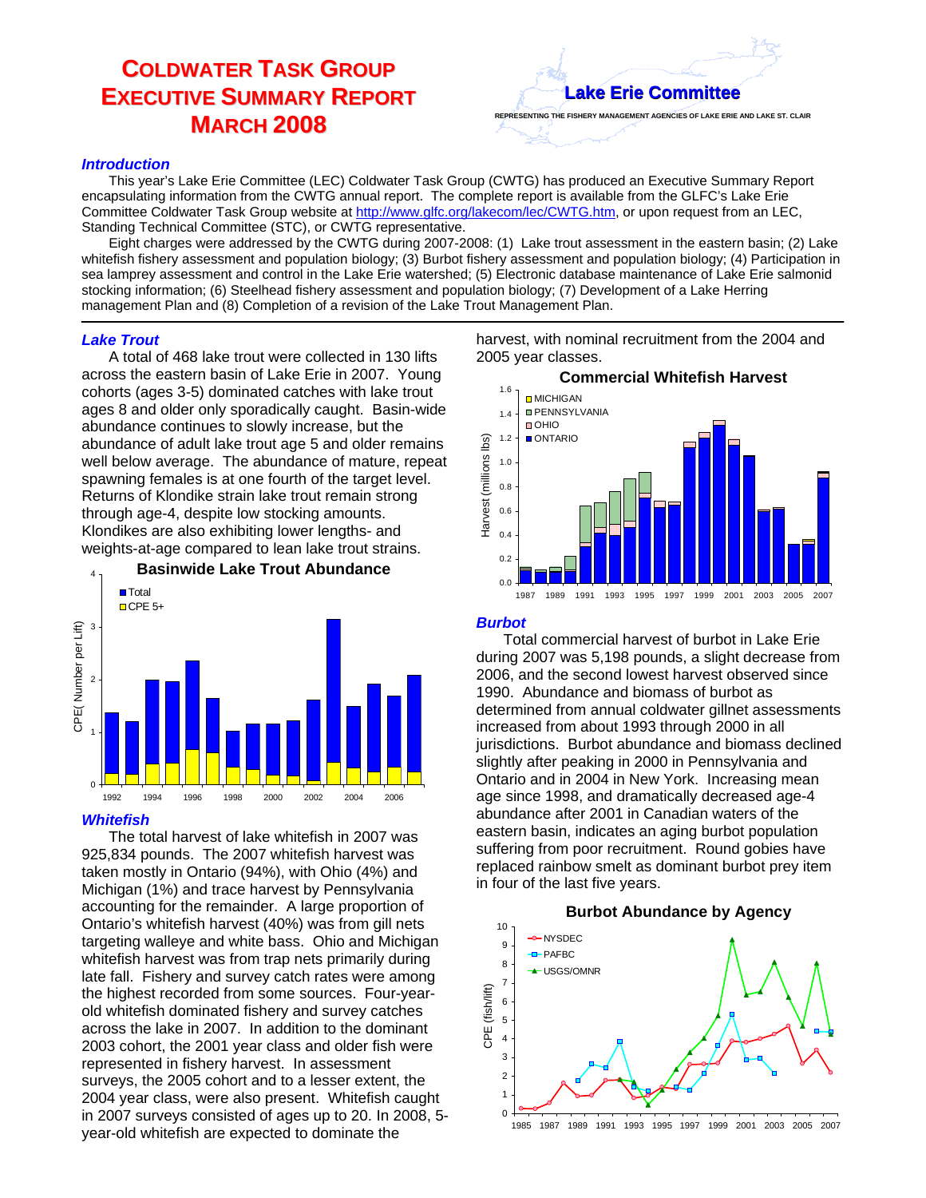# **COLDWATER TASK GROUP EXECUTIVE SUMMARY REPORT MARCH 2008**

# **Lake Erie Committee Lake Erie Committee**

#### *Introduction*

This year's Lake Erie Committee (LEC) Coldwater Task Group (CWTG) has produced an Executive Summary Report encapsulating information from the CWTG annual report. The complete report is available from the GLFC's Lake Erie Committee Coldwater Task Group website at http://www.glfc.org/lakecom/lec/CWTG.htm, or upon request from an LEC, Standing Technical Committee (STC), or CWTG representative.

Eight charges were addressed by the CWTG during 2007-2008: (1) Lake trout assessment in the eastern basin; (2) Lake whitefish fishery assessment and population biology; (3) Burbot fishery assessment and population biology; (4) Participation in sea lamprey assessment and control in the Lake Erie watershed; (5) Electronic database maintenance of Lake Erie salmonid stocking information; (6) Steelhead fishery assessment and population biology; (7) Development of a Lake Herring management Plan and (8) Completion of a revision of the Lake Trout Management Plan.

#### *Lake Trout*

A total of 468 lake trout were collected in 130 lifts across the eastern basin of Lake Erie in 2007. Young cohorts (ages 3-5) dominated catches with lake trout ages 8 and older only sporadically caught. Basin-wide abundance continues to slowly increase, but the abundance of adult lake trout age 5 and older remains well below average. The abundance of mature, repeat spawning females is at one fourth of the target level. Returns of Klondike strain lake trout remain strong through age-4, despite low stocking amounts. Klondikes are also exhibiting lower lengths- and weights-at-age compared to lean lake trout strains.



#### *Whitefish*

The total harvest of lake whitefish in 2007 was 925,834 pounds. The 2007 whitefish harvest was taken mostly in Ontario (94%), with Ohio (4%) and Michigan (1%) and trace harvest by Pennsylvania accounting for the remainder. A large proportion of Ontario's whitefish harvest (40%) was from gill nets targeting walleye and white bass. Ohio and Michigan whitefish harvest was from trap nets primarily during late fall. Fishery and survey catch rates were among the highest recorded from some sources. Four-yearold whitefish dominated fishery and survey catches across the lake in 2007. In addition to the dominant 2003 cohort, the 2001 year class and older fish were represented in fishery harvest. In assessment surveys, the 2005 cohort and to a lesser extent, the 2004 year class, were also present. Whitefish caught in 2007 surveys consisted of ages up to 20. In 2008, 5 year-old whitefish are expected to dominate the

harvest, with nominal recruitment from the 2004 and 2005 year classes.



### *Burbot*

Total commercial harvest of burbot in Lake Erie during 2007 was 5,198 pounds, a slight decrease from 2006, and the second lowest harvest observed since 1990. Abundance and biomass of burbot as determined from annual coldwater gillnet assessments increased from about 1993 through 2000 in all jurisdictions. Burbot abundance and biomass declined slightly after peaking in 2000 in Pennsylvania and Ontario and in 2004 in New York. Increasing mean age since 1998, and dramatically decreased age-4 abundance after 2001 in Canadian waters of the eastern basin, indicates an aging burbot population suffering from poor recruitment. Round gobies have replaced rainbow smelt as dominant burbot prey item in four of the last five years.